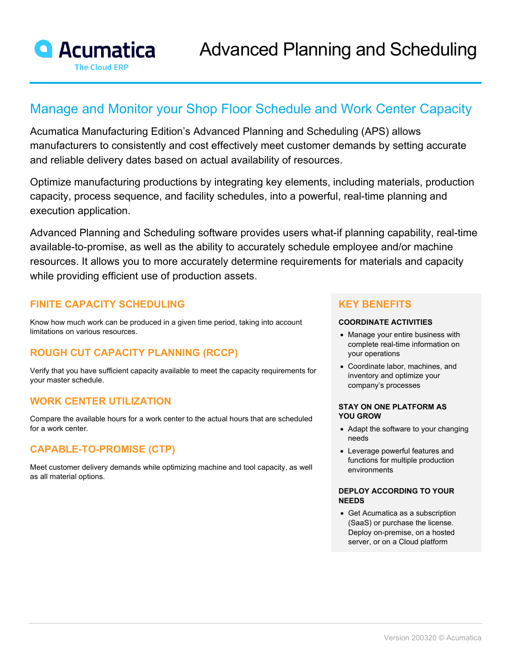

# Manage and Monitor your Shop Floor Schedule and Work Center Capacity

Acumatica Manufacturing Edition's Advanced Planning and Scheduling (APS) allows manufacturers to consistently and cost effectively meet customer demands by setting accurate and reliable delivery dates based on actual availability of resources.

Optimize manufacturing productions by integrating key elements, including materials, production capacity, process sequence, and facility schedules, into a powerful, real-time planning and execution application.

Advanced Planning and Scheduling software provides users what-if planning capability, real-time available-to-promise, as well as the ability to accurately schedule employee and/or machine resources. It allows you to more accurately determine requirements for materials and capacity while providing efficient use of production assets.

# **FINITE CAPACITY SCHEDULING**

Know how much work can be produced in a given time period, taking into account limitations on various resources.

# **ROUGH CUT CAPACITY PLANNING (RCCP)**

Verify that you have sufficient capacity available to meet the capacity requirements for your master schedule.

### **WORK CENTER UTILIZATION**

Compare the available hours for a work center to the actual hours that are scheduled for a work center.

# **CAPABLE-TO-PROMISE (CTP)**

Meet customer delivery demands while optimizing machine and tool capacity, as well as all material options.

### **KEY BENEFITS**

#### **COORDINATE ACTIVITIES**

- Manage your entire business with complete real-time information on your operations
- Coordinate labor, machines, and inventory and optimize your company's processes

#### **STAY ON ONE PLATFORM AS YOU GROW**

- Adapt the software to your changing needs
- Leverage powerful features and functions for multiple production environments

#### **DEPLOY ACCORDING TO YOUR NEEDS**

• Get Acumatica as a subscription (SaaS) or purchase the license. Deploy on-premise, on a hosted server, or on a Cloud platform